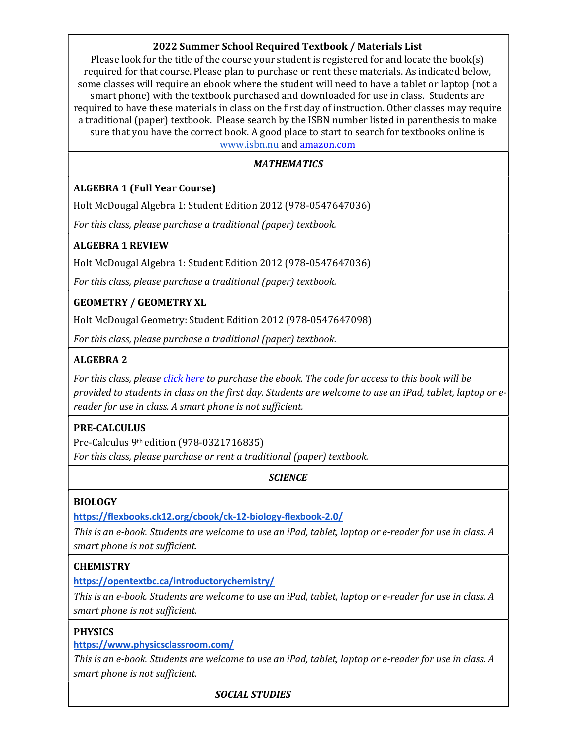# 2022 Summer School Required Textbook / Materials List

Please look for the title of the course your student is registered for and locate the book(s) required for that course. Please plan to purchase or rent these materials. As indicated below, some classes will require an ebook where the student will need to have a tablet or laptop (not a smart phone) with the textbook purchased and downloaded for use in class. Students are required to have these materials in class on the first day of instruction. Other classes may require a traditional (paper) textbook. Please search by the ISBN number listed in parenthesis to make sure that you have the correct book. A good place to start to search for textbooks online is www.isbn.nu and amazon.com

### **MATHEMATICS**

### ALGEBRA 1 (Full Year Course)

Holt McDougal Algebra 1: Student Edition 2012 (978-0547647036)

For this class, please purchase a traditional (paper) textbook.

### ALGEBRA 1 REVIEW

Holt McDougal Algebra 1: Student Edition 2012 (978-0547647036)

For this class, please purchase a traditional (paper) textbook.

### GEOMETRY / GEOMETRY XL

Holt McDougal Geometry: Student Edition 2012 (978-0547647098)

For this class, please purchase a traditional (paper) textbook.

### ALGEBRA 2

For this class, please click here to purchase the ebook. The code for access to this book will be provided to students in class on the first day. Students are welcome to use an iPad, tablet, laptop or ereader for use in class. A smart phone is not sufficient.

### PRE-CALCULUS

Pre-Calculus 9th edition (978-0321716835) For this class, please purchase or rent a traditional (paper) textbook.

### **SCIENCE**

#### BIOLOGY

https://flexbooks.ck12.org/cbook/ck-12-biology-flexbook-2.0/

This is an e-book. Students are welcome to use an iPad, tablet, laptop or e-reader for use in class. A smart phone is not sufficient.

### **CHEMISTRY**

https://opentextbc.ca/introductorychemistry/

This is an e-book. Students are welcome to use an iPad, tablet, laptop or e-reader for use in class. A smart phone is not sufficient.

### PHYSICS

https://www.physicsclassroom.com/

This is an e-book. Students are welcome to use an iPad, tablet, laptop or e-reader for use in class. A smart phone is not sufficient.

#### SOCIAL STUDIES